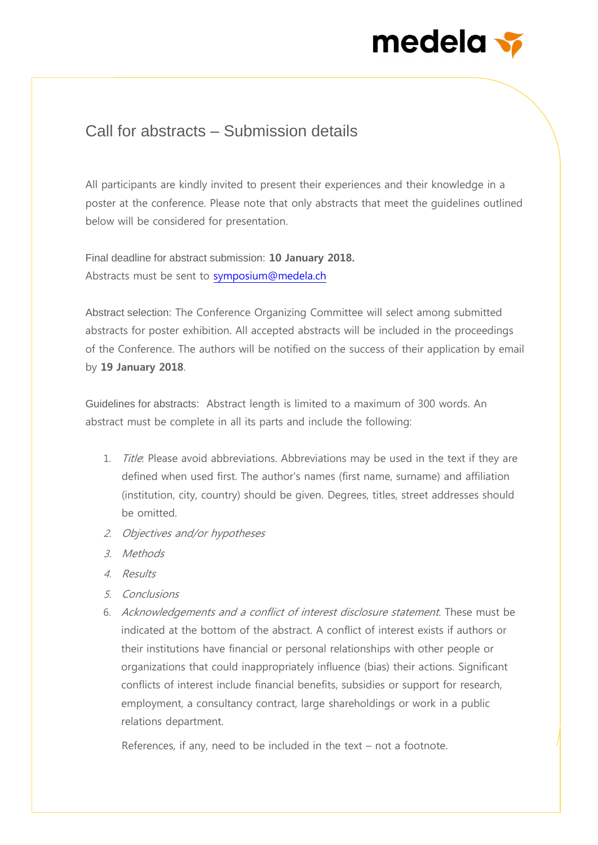## medela v

## Call for abstracts – Submission details

All participants are kindly invited to present their experiences and their knowledge in a poster at the conference. Please note that only abstracts that meet the guidelines outlined below will be considered for presentation.

Final deadline for abstract submission: **10 January 2018.**  Abstracts must be sent to [symposium@medela.ch](mailto:symposium@medela.ch)

Abstract selection: The Conference Organizing Committee will select among submitted abstracts for poster exhibition. All accepted abstracts will be included in the proceedings of the Conference. The authors will be notified on the success of their application by email by **19 January 2018**.

Guidelines for abstracts: Abstract length is limited to a maximum of 300 words. An abstract must be complete in all its parts and include the following:

- 1. *Title*: Please avoid abbreviations. Abbreviations may be used in the text if they are defined when used first. The author's names (first name, surname) and affiliation (institution, city, country) should be given. Degrees, titles, street addresses should be omitted.
- 2. Objectives and/or hypotheses
- 3. Methods
- 4. Results
- 5. Conclusions
- 6. Acknowledgements and a conflict of interest disclosure statement. These must be indicated at the bottom of the abstract. A conflict of interest exists if authors or their institutions have financial or personal relationships with other people or organizations that could inappropriately influence (bias) their actions. Significant conflicts of interest include financial benefits, subsidies or support for research, employment, a consultancy contract, large shareholdings or work in a public relations department.

References, if any, need to be included in the text – not a footnote.